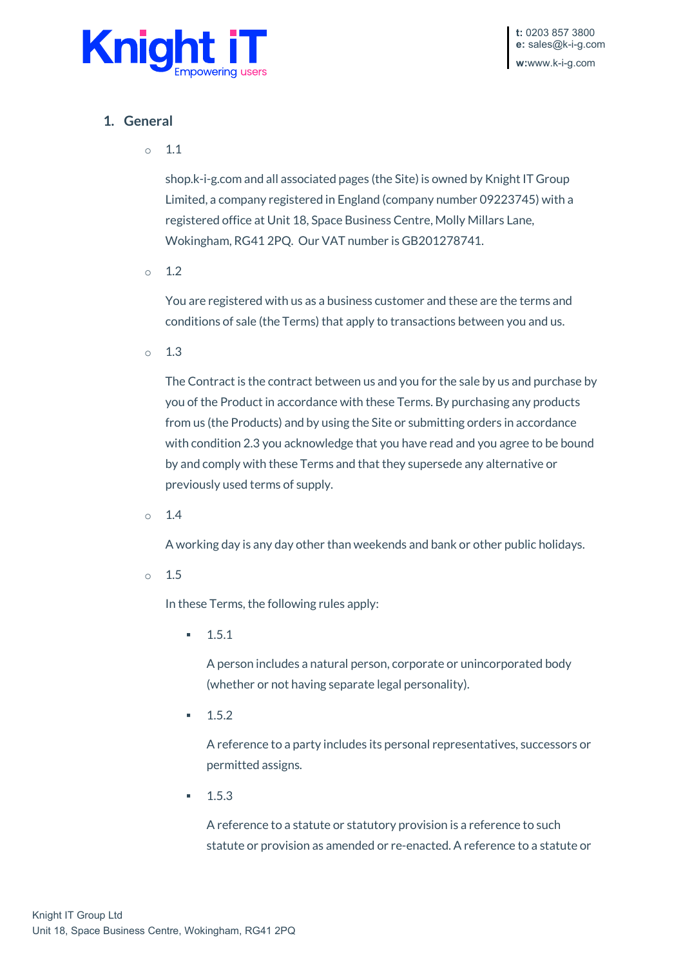

# **1. General**

 $\circ$  1.1

shop.k-i-g.com and all associated pages (the Site) is owned by Knight IT Group Limited, a company registered in England (company number 09223745) with a registered office at Unit 18, Space Business Centre, Molly Millars Lane, Wokingham, RG41 2PQ. Our VAT number is GB201278741.

 $\circ$  1.2

You are registered with us as a business customer and these are the terms and conditions of sale (the Terms) that apply to transactions between you and us.

 $\circ$  1.3

The Contract is the contract between us and you for the sale by us and purchase by you of the Product in accordance with these Terms. By purchasing any products from us (the Products) and by using the Site or submitting orders in accordance with condition 2.3 you acknowledge that you have read and you agree to be bound by and comply with these Terms and that they supersede any alternative or previously used terms of supply.

 $\circ$  1.4

A working day is any day other than weekends and bank or other public holidays.

o 1.5

In these Terms, the following rules apply:

 $-1.5.1$ 

A person includes a natural person, corporate or unincorporated body (whether or not having separate legal personality).

 $-1.5.2$ 

A reference to a party includes its personal representatives, successors or permitted assigns.

 $-1.5.3$ 

A reference to a statute or statutory provision is a reference to such statute or provision as amended or re-enacted. A reference to a statute or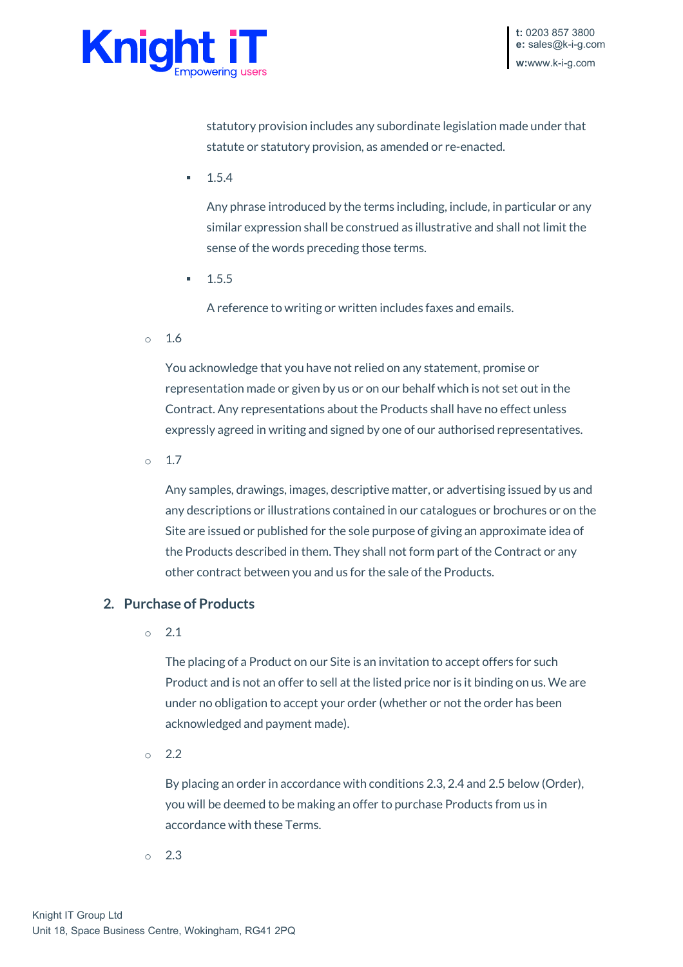

statutory provision includes any subordinate legislation made under that statute or statutory provision, as amended or re-enacted.

1.5.4

Any phrase introduced by the terms including, include, in particular or any similar expression shall be construed as illustrative and shall not limit the sense of the words preceding those terms.

 $-1.5.5$ 

A reference to writing or written includes faxes and emails.

o 1.6

You acknowledge that you have not relied on any statement, promise or representation made or given by us or on our behalf which is not set out in the Contract. Any representations about the Products shall have no effect unless expressly agreed in writing and signed by one of our authorised representatives.

 $\circ$  1.7

Any samples, drawings, images, descriptive matter, or advertising issued by us and any descriptions or illustrations contained in our catalogues or brochures or on the Site are issued or published for the sole purpose of giving an approximate idea of the Products described in them. They shall not form part of the Contract or any other contract between you and us for the sale of the Products.

### **2. Purchase of Products**

o 2.1

The placing of a Product on our Site is an invitation to accept offers for such Product and is not an offer to sell at the listed price nor is it binding on us. We are under no obligation to accept your order (whether or not the order has been acknowledged and payment made).

o 2.2

By placing an order in accordance with conditions 2.3, 2.4 and 2.5 below (Order), you will be deemed to be making an offer to purchase Products from us in accordance with these Terms.

 $\circ$  2.3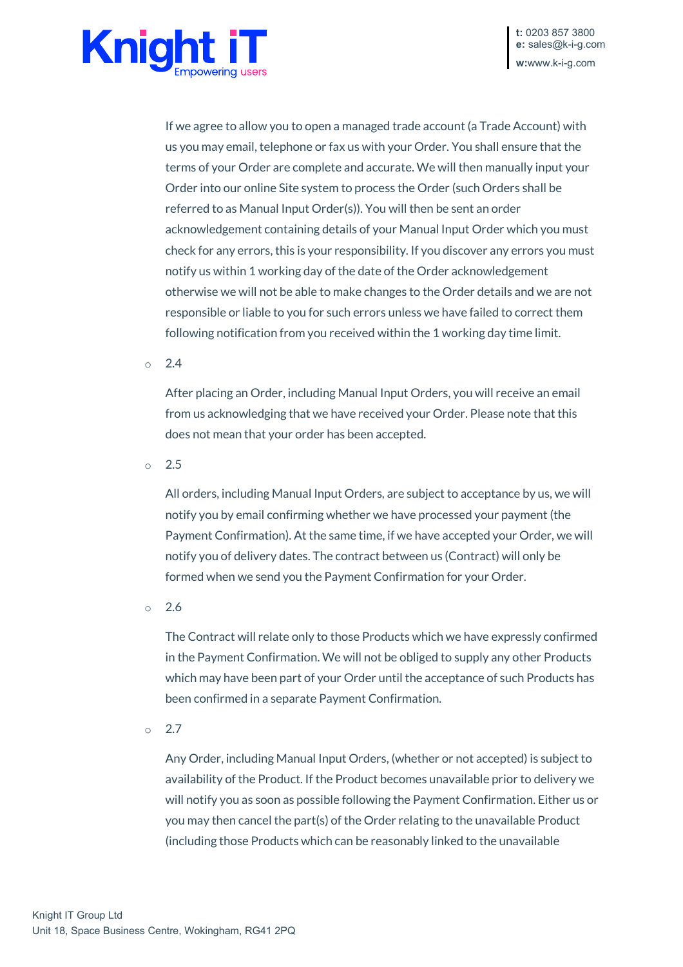

If we agree to allow you to open a managed trade account (a Trade Account) with us you may email, telephone or fax us with your Order. You shall ensure that the terms of your Order are complete and accurate. We will then manually input your Order into our online Site system to process the Order (such Orders shall be referred to as Manual Input Order(s)). You will then be sent an order acknowledgement containing details of your Manual Input Order which you must check for any errors, this is your responsibility. If you discover any errors you must notify us within 1 working day of the date of the Order acknowledgement otherwise we will not be able to make changes to the Order details and we are not responsible or liable to you for such errors unless we have failed to correct them following notification from you received within the 1 working day time limit.

 $\circ$  2.4

After placing an Order, including Manual Input Orders, you will receive an email from us acknowledging that we have received your Order. Please note that this does not mean that your order has been accepted.

 $\circ$  2.5

All orders, including Manual Input Orders, are subject to acceptance by us, we will notify you by email confirming whether we have processed your payment (the Payment Confirmation). At the same time, if we have accepted your Order, we will notify you of delivery dates. The contract between us (Contract) will only be formed when we send you the Payment Confirmation for your Order.

o 2.6

The Contract will relate only to those Products which we have expressly confirmed in the Payment Confirmation. We will not be obliged to supply any other Products which may have been part of your Order until the acceptance of such Products has been confirmed in a separate Payment Confirmation.

 $\circ$  2.7

Any Order, including Manual Input Orders, (whether or not accepted) is subject to availability of the Product. If the Product becomes unavailable prior to delivery we will notify you as soon as possible following the Payment Confirmation. Either us or you may then cancel the part(s) of the Order relating to the unavailable Product (including those Products which can be reasonably linked to the unavailable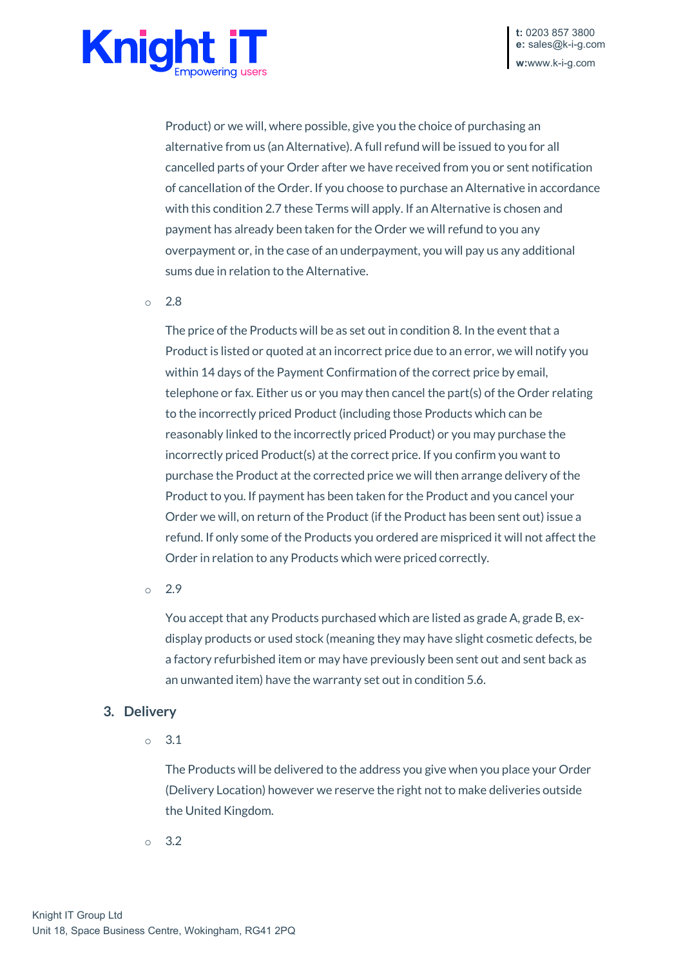

Product) or we will, where possible, give you the choice of purchasing an alternative from us (an Alternative). A full refund will be issued to you for all cancelled parts of your Order after we have received from you or sent notification of cancellation of the Order. If you choose to purchase an Alternative in accordance with this condition 2.7 these Terms will apply. If an Alternative is chosen and payment has already been taken for the Order we will refund to you any overpayment or, in the case of an underpayment, you will pay us any additional sums due in relation to the Alternative.

 $0<sub>2.8</sub>$ 

The price of the Products will be as set out in condition 8. In the event that a Product is listed or quoted at an incorrect price due to an error, we will notify you within 14 days of the Payment Confirmation of the correct price by email, telephone or fax. Either us or you may then cancel the part(s) of the Order relating to the incorrectly priced Product (including those Products which can be reasonably linked to the incorrectly priced Product) or you may purchase the incorrectly priced Product(s) at the correct price. If you confirm you want to purchase the Product at the corrected price we will then arrange delivery of the Product to you. If payment has been taken for the Product and you cancel your Order we will, on return of the Product (if the Product has been sent out) issue a refund. If only some of the Products you ordered are mispriced it will not affect the Order in relation to any Products which were priced correctly.

 $\circ$  2.9

You accept that any Products purchased which are listed as grade A, grade B, exdisplay products or used stock (meaning they may have slight cosmetic defects, be a factory refurbished item or may have previously been sent out and sent back as an unwanted item) have the warranty set out in condition 5.6.

#### **3. Delivery**

o 3.1

The Products will be delivered to the address you give when you place your Order (Delivery Location) however we reserve the right not to make deliveries outside the United Kingdom.

o 3.2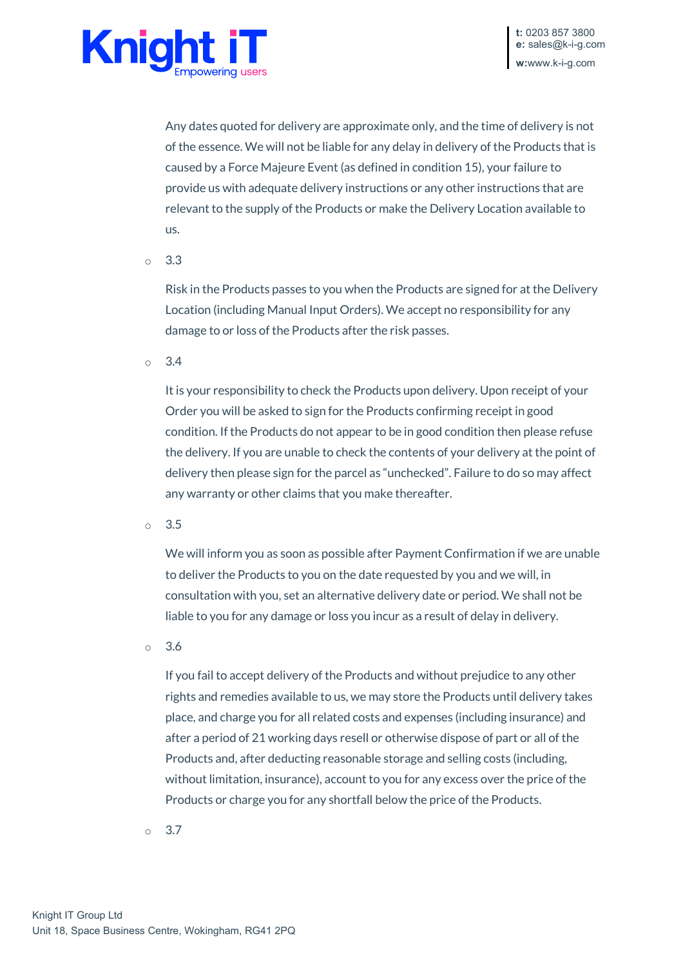

Any dates quoted for delivery are approximate only, and the time of delivery is not of the essence. We will not be liable for any delay in delivery of the Products that is caused by a Force Majeure Event (as defined in condition 15), your failure to provide us with adequate delivery instructions or any other instructions that are relevant to the supply of the Products or make the Delivery Location available to us.

o 3.3

Risk in the Products passes to you when the Products are signed for at the Delivery Location (including Manual Input Orders). We accept no responsibility for any damage to or loss of the Products after the risk passes.

 $\circ$  3.4

It is your responsibility to check the Products upon delivery. Upon receipt of your Order you will be asked to sign for the Products confirming receipt in good condition. If the Products do not appear to be in good condition then please refuse the delivery. If you are unable to check the contents of your delivery at the point of delivery then please sign for the parcel as "unchecked". Failure to do so may affect any warranty or other claims that you make thereafter.

o 3.5

We will inform you as soon as possible after Payment Confirmation if we are unable to deliver the Products to you on the date requested by you and we will, in consultation with you, set an alternative delivery date or period. We shall not be liable to you for any damage or loss you incur as a result of delay in delivery.

o 3.6

If you fail to accept delivery of the Products and without prejudice to any other rights and remedies available to us, we may store the Products until delivery takes place, and charge you for all related costs and expenses (including insurance) and after a period of 21 working days resell or otherwise dispose of part or all of the Products and, after deducting reasonable storage and selling costs (including, without limitation, insurance), account to you for any excess over the price of the Products or charge you for any shortfall below the price of the Products.

o 3.7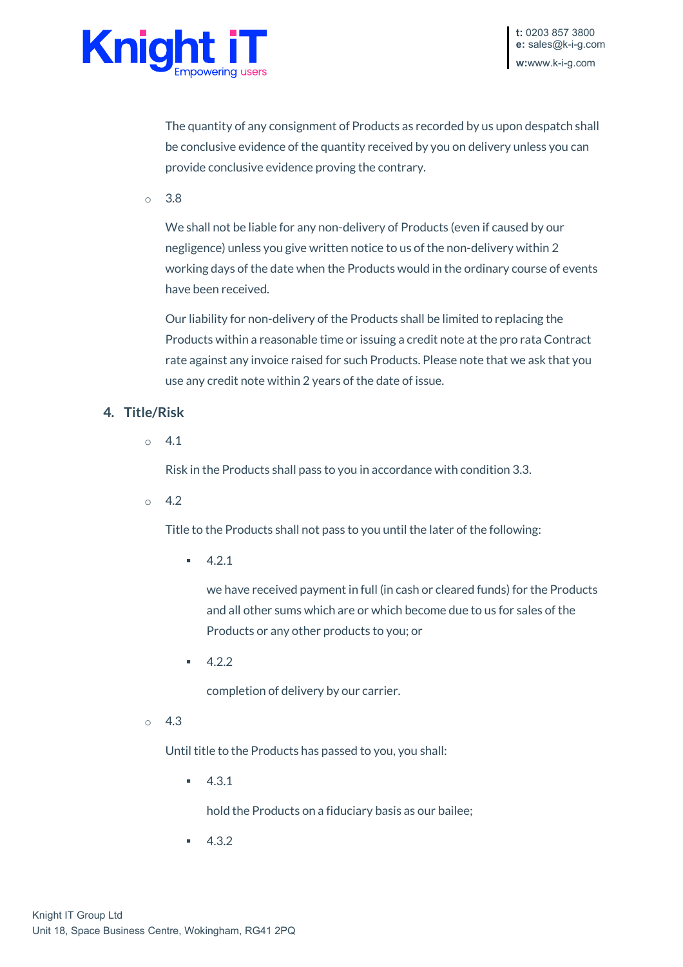

The quantity of any consignment of Products as recorded by us upon despatch shall be conclusive evidence of the quantity received by you on delivery unless you can provide conclusive evidence proving the contrary.

 $\circ$  3.8

We shall not be liable for any non-delivery of Products (even if caused by our negligence) unless you give written notice to us of the non-delivery within 2 working days of the date when the Products would in the ordinary course of events have been received.

Our liability for non-delivery of the Products shall be limited to replacing the Products within a reasonable time or issuing a credit note at the pro rata Contract rate against any invoice raised for such Products. Please note that we ask that you use any credit note within 2 years of the date of issue.

### **4. Title/Risk**

 $\circ$  4.1

Risk in the Products shall pass to you in accordance with condition 3.3.

 $\degree$  4.2

Title to the Products shall not pass to you until the later of the following:

 $-4.2.1$ 

we have received payment in full (in cash or cleared funds) for the Products and all other sums which are or which become due to us for sales of the Products or any other products to you; or

4.2.2

completion of delivery by our carrier.

 $\circ$  4.3

Until title to the Products has passed to you, you shall:

 $-4.3.1$ 

hold the Products on a fiduciary basis as our bailee;

4.3.2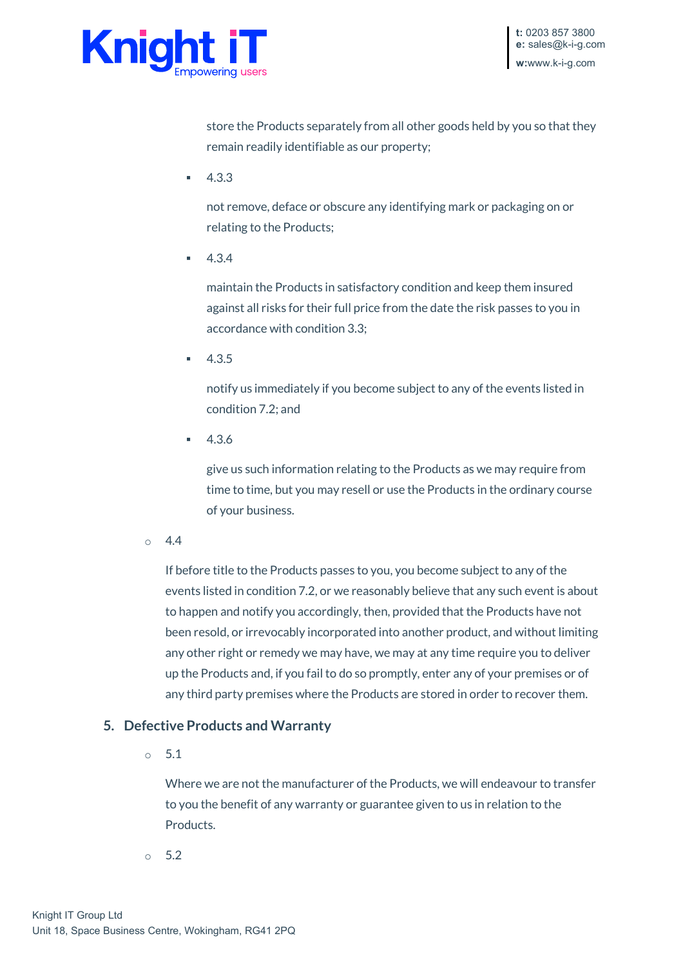

store the Products separately from all other goods held by you so that they remain readily identifiable as our property;

4.3.3

not remove, deface or obscure any identifying mark or packaging on or relating to the Products;

4.3.4

maintain the Products in satisfactory condition and keep them insured against all risks for their full price from the date the risk passes to you in accordance with condition 3.3;

 $-4.3.5$ 

notify us immediately if you become subject to any of the events listed in condition 7.2; and

4.3.6

give us such information relating to the Products as we may require from time to time, but you may resell or use the Products in the ordinary course of your business.

 $0 \quad 4.4$ 

If before title to the Products passes to you, you become subject to any of the events listed in condition 7.2, or we reasonably believe that any such event is about to happen and notify you accordingly, then, provided that the Products have not been resold, or irrevocably incorporated into another product, and without limiting any other right or remedy we may have, we may at any time require you to deliver up the Products and, if you fail to do so promptly, enter any of your premises or of any third party premises where the Products are stored in order to recover them.

## **5. Defective Products and Warranty**

o 5.1

Where we are not the manufacturer of the Products, we will endeavour to transfer to you the benefit of any warranty or guarantee given to us in relation to the Products.

o 5.2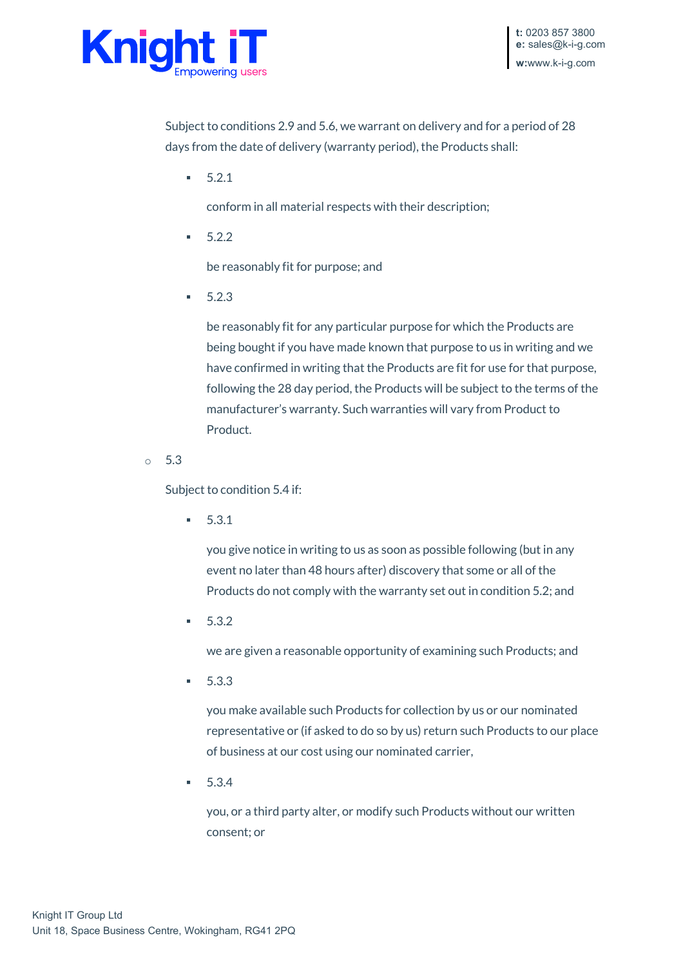

Subject to conditions 2.9 and 5.6, we warrant on delivery and for a period of 28 days from the date of delivery (warranty period), the Products shall:

5.2.1

conform in all material respects with their description;

 $-5.2.2$ 

be reasonably fit for purpose; and

 $-5.2.3$ 

be reasonably fit for any particular purpose for which the Products are being bought if you have made known that purpose to us in writing and we have confirmed in writing that the Products are fit for use for that purpose, following the 28 day period, the Products will be subject to the terms of the manufacturer's warranty. Such warranties will vary from Product to Product.

o 5.3

Subject to condition 5.4 if:

 $-5.3.1$ 

you give notice in writing to us as soon as possible following (but in any event no later than 48 hours after) discovery that some or all of the Products do not comply with the warranty set out in condition 5.2; and

 $-5.3.2$ 

we are given a reasonable opportunity of examining such Products; and

 $-5.3.3$ 

you make available such Products for collection by us or our nominated representative or (if asked to do so by us) return such Products to our place of business at our cost using our nominated carrier,

5.3.4

you, or a third party alter, or modify such Products without our written consent; or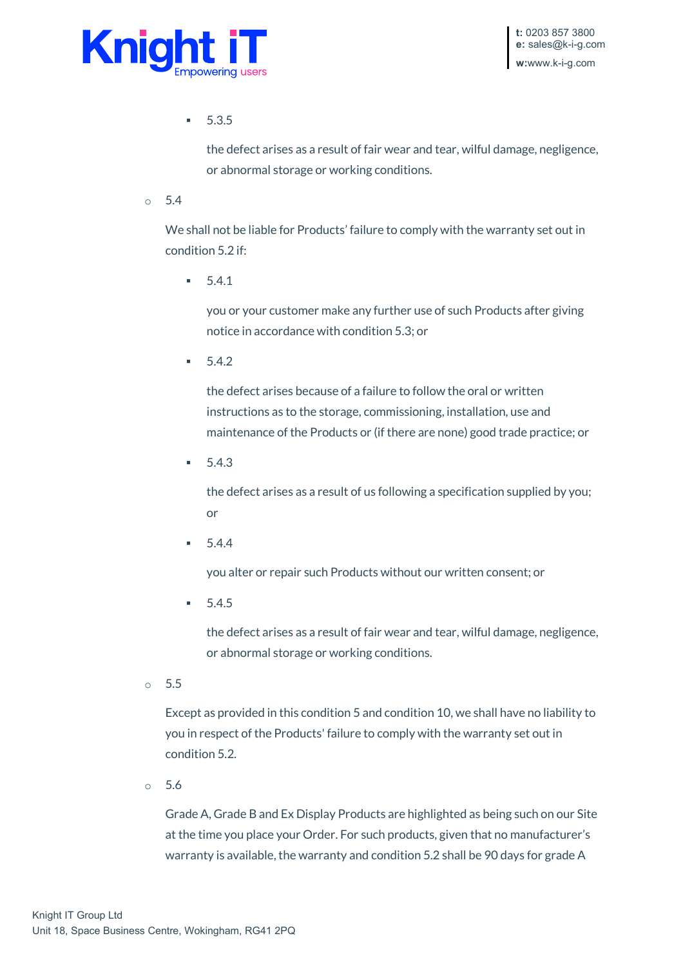

5.3.5

the defect arises as a result of fair wear and tear, wilful damage, negligence, or abnormal storage or working conditions.

 $0.54$ 

We shall not be liable for Products' failure to comply with the warranty set out in condition 5.2 if:

5.4.1

you or your customer make any further use of such Products after giving notice in accordance with condition 5.3; or

 $-5.4.2$ 

the defect arises because of a failure to follow the oral or written instructions as to the storage, commissioning, installation, use and maintenance of the Products or (if there are none) good trade practice; or

 $-5.4.3$ 

the defect arises as a result of us following a specification supplied by you; or

 $-5.4.4$ 

you alter or repair such Products without our written consent; or

 $-5.4.5$ 

the defect arises as a result of fair wear and tear, wilful damage, negligence, or abnormal storage or working conditions.

o 5.5

Except as provided in this condition 5 and condition 10, we shall have no liability to you in respect of the Products' failure to comply with the warranty set out in condition 5.2.

o 5.6

Grade A, Grade B and Ex Display Products are highlighted as being such on our Site at the time you place your Order. For such products, given that no manufacturer's warranty is available, the warranty and condition 5.2 shall be 90 days for grade A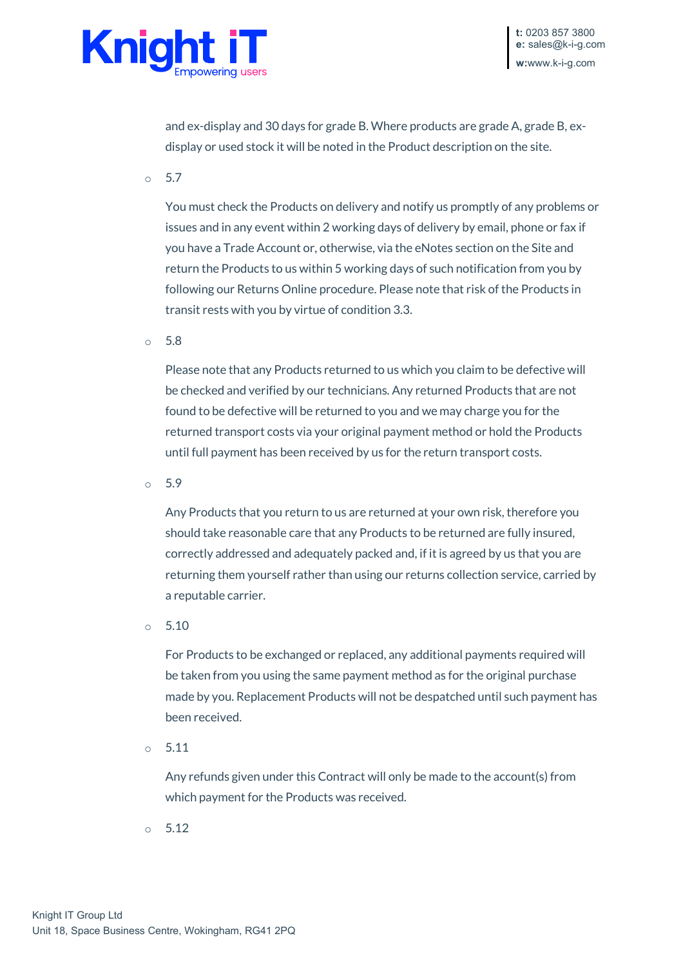

and ex-display and 30 days for grade B. Where products are grade A, grade B, exdisplay or used stock it will be noted in the Product description on the site.

o 5.7

You must check the Products on delivery and notify us promptly of any problems or issues and in any event within 2 working days of delivery by email, phone or fax if you have a Trade Account or, otherwise, via the eNotes section on the Site and return the Products to us within 5 working days of such notification from you by following our Returns Online procedure. Please note that risk of the Products in transit rests with you by virtue of condition 3.3.

o 5.8

Please note that any Products returned to us which you claim to be defective will be checked and verified by our technicians. Any returned Products that are not found to be defective will be returned to you and we may charge you for the returned transport costs via your original payment method or hold the Products until full payment has been received by us for the return transport costs.

o 5.9

Any Products that you return to us are returned at your own risk, therefore you should take reasonable care that any Products to be returned are fully insured, correctly addressed and adequately packed and, if it is agreed by us that you are returning them yourself rather than using our returns collection service, carried by a reputable carrier.

o 5.10

For Products to be exchanged or replaced, any additional payments required will be taken from you using the same payment method as for the original purchase made by you. Replacement Products will not be despatched until such payment has been received.

o 5.11

Any refunds given under this Contract will only be made to the account(s) from which payment for the Products was received.

o 5.12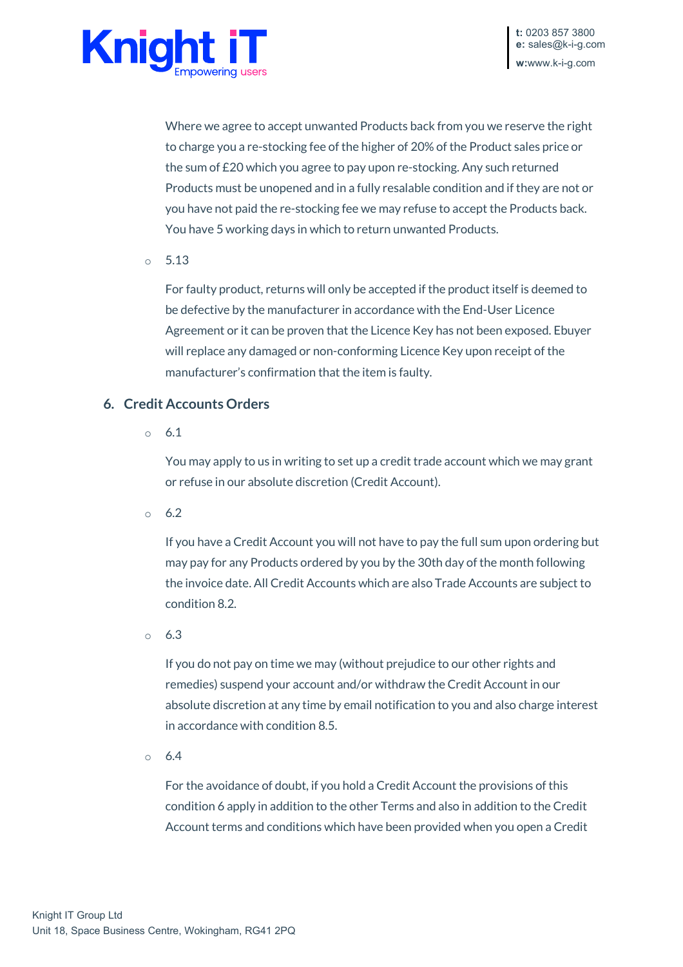

Where we agree to accept unwanted Products back from you we reserve the right to charge you a re-stocking fee of the higher of 20% of the Product sales price or the sum of £20 which you agree to pay upon re-stocking. Any such returned Products must be unopened and in a fully resalable condition and if they are not or you have not paid the re-stocking fee we may refuse to accept the Products back. You have 5 working days in which to return unwanted Products.

o 5.13

For faulty product, returns will only be accepted if the product itself is deemed to be defective by the manufacturer in accordance with the End-User Licence Agreement or it can be proven that the Licence Key has not been exposed. Ebuyer will replace any damaged or non-conforming Licence Key upon receipt of the manufacturer's confirmation that the item is faulty.

### **6. Credit Accounts Orders**

o 6.1

You may apply to us in writing to set up a credit trade account which we may grant or refuse in our absolute discretion (Credit Account).

 $0\quad 6.2$ 

If you have a Credit Account you will not have to pay the full sum upon ordering but may pay for any Products ordered by you by the 30th day of the month following the invoice date. All Credit Accounts which are also Trade Accounts are subject to condition 8.2.

o 6.3

If you do not pay on time we may (without prejudice to our other rights and remedies) suspend your account and/or withdraw the Credit Account in our absolute discretion at any time by email notification to you and also charge interest in accordance with condition 8.5.

o 6.4

For the avoidance of doubt, if you hold a Credit Account the provisions of this condition 6 apply in addition to the other Terms and also in addition to the Credit Account terms and conditions which have been provided when you open a Credit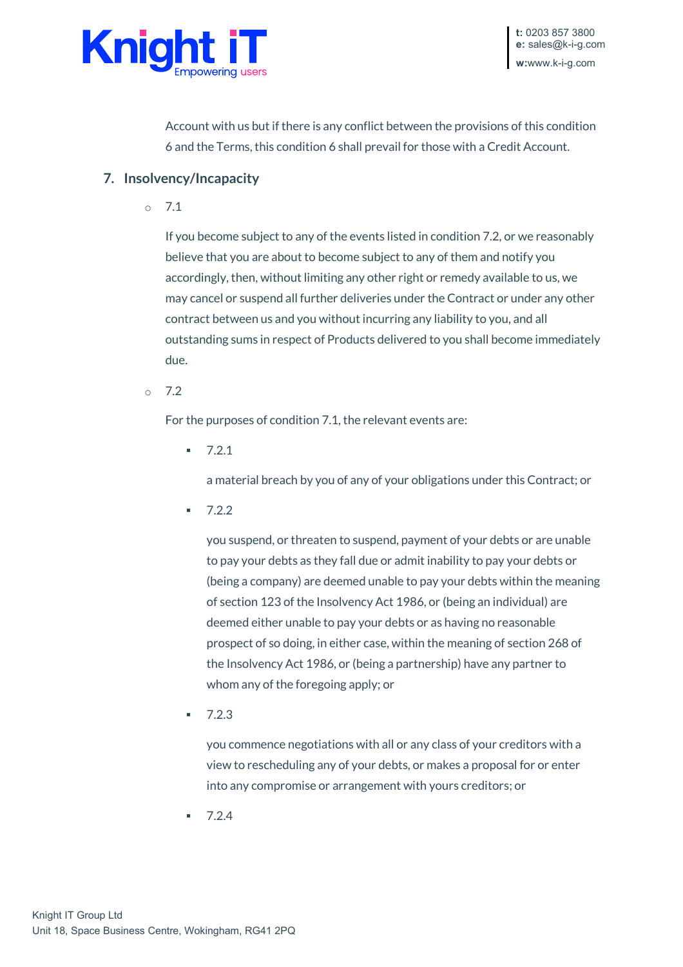

Account with us but if there is any conflict between the provisions of this condition 6 and the Terms, this condition 6 shall prevail for those with a Credit Account.

### **7. Insolvency/Incapacity**

o 7.1

If you become subject to any of the events listed in condition 7.2, or we reasonably believe that you are about to become subject to any of them and notify you accordingly, then, without limiting any other right or remedy available to us, we may cancel or suspend all further deliveries under the Contract or under any other contract between us and you without incurring any liability to you, and all outstanding sums in respect of Products delivered to you shall become immediately due.

 $\degree$  7.2

For the purposes of condition 7.1, the relevant events are:

 $-7.2.1$ 

a material breach by you of any of your obligations under this Contract; or

 $-7.2.2$ 

you suspend, or threaten to suspend, payment of your debts or are unable to pay your debts as they fall due or admit inability to pay your debts or (being a company) are deemed unable to pay your debts within the meaning of section 123 of the Insolvency Act 1986, or (being an individual) are deemed either unable to pay your debts or as having no reasonable prospect of so doing, in either case, within the meaning of section 268 of the Insolvency Act 1986, or (being a partnership) have any partner to whom any of the foregoing apply; or

7.2.3

you commence negotiations with all or any class of your creditors with a view to rescheduling any of your debts, or makes a proposal for or enter into any compromise or arrangement with yours creditors; or

7.2.4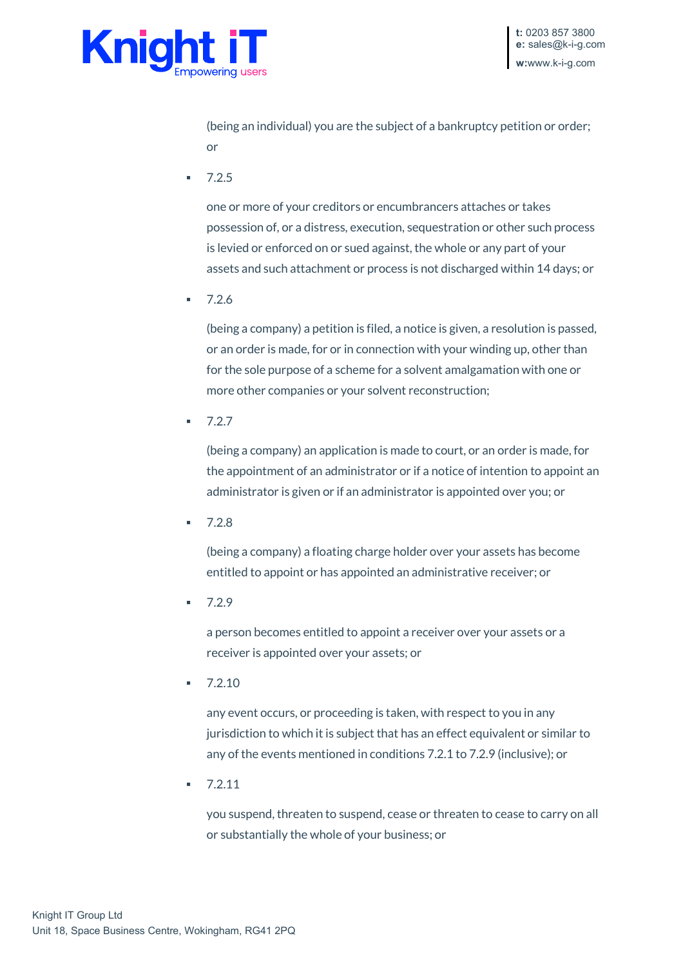

(being an individual) you are the subject of a bankruptcy petition or order; or

 $-7.2.5$ 

one or more of your creditors or encumbrancers attaches or takes possession of, or a distress, execution, sequestration or other such process is levied or enforced on or sued against, the whole or any part of your assets and such attachment or process is not discharged within 14 days; or

7.2.6

(being a company) a petition is filed, a notice is given, a resolution is passed, or an order is made, for or in connection with your winding up, other than for the sole purpose of a scheme for a solvent amalgamation with one or more other companies or your solvent reconstruction;

 $-7.2.7$ 

(being a company) an application is made to court, or an order is made, for the appointment of an administrator or if a notice of intention to appoint an administrator is given or if an administrator is appointed over you; or

7.2.8

(being a company) a floating charge holder over your assets has become entitled to appoint or has appointed an administrative receiver; or

 $-7.2.9$ 

a person becomes entitled to appoint a receiver over your assets or a receiver is appointed over your assets; or

7.2.10

any event occurs, or proceeding is taken, with respect to you in any jurisdiction to which it is subject that has an effect equivalent or similar to any of the events mentioned in conditions 7.2.1 to 7.2.9 (inclusive); or

 $-7.2.11$ 

you suspend, threaten to suspend, cease or threaten to cease to carry on all or substantially the whole of your business; or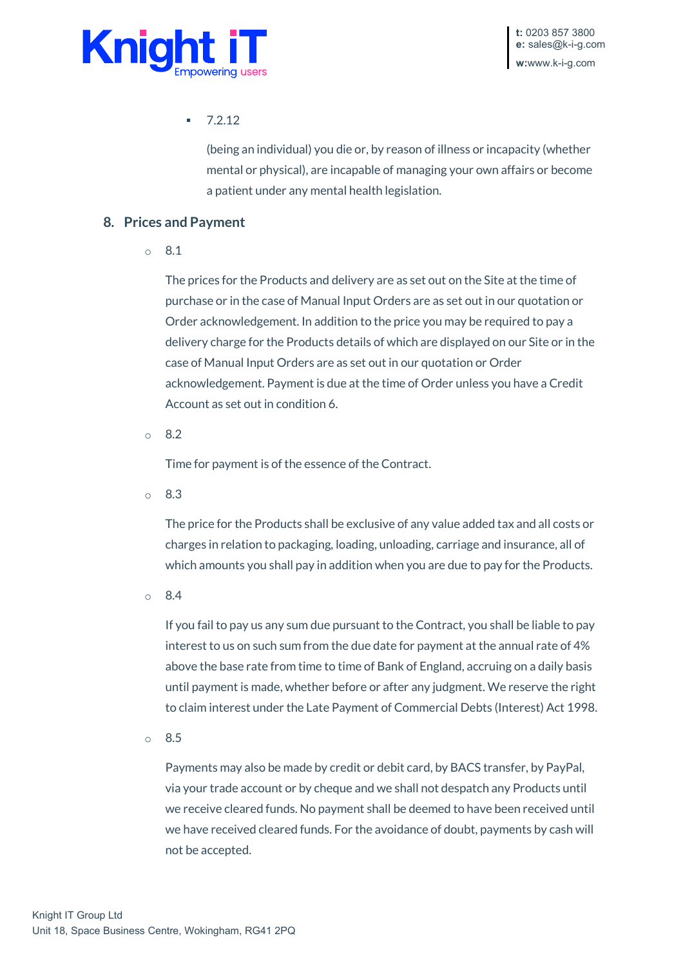

7.2.12

(being an individual) you die or, by reason of illness or incapacity (whether mental or physical), are incapable of managing your own affairs or become a patient under any mental health legislation.

### **8. Prices and Payment**

o 8.1

The prices for the Products and delivery are as set out on the Site at the time of purchase or in the case of Manual Input Orders are as set out in our quotation or Order acknowledgement. In addition to the price you may be required to pay a delivery charge for the Products details of which are displayed on our Site or in the case of Manual Input Orders are as set out in our quotation or Order acknowledgement. Payment is due at the time of Order unless you have a Credit Account as set out in condition 6.

o 8.2

Time for payment is of the essence of the Contract.

o 8.3

The price for the Products shall be exclusive of any value added tax and all costs or charges in relation to packaging, loading, unloading, carriage and insurance, all of which amounts you shall pay in addition when you are due to pay for the Products.

o 8.4

If you fail to pay us any sum due pursuant to the Contract, you shall be liable to pay interest to us on such sum from the due date for payment at the annual rate of 4% above the base rate from time to time of Bank of England, accruing on a daily basis until payment is made, whether before or after any judgment. We reserve the right to claim interest under the Late Payment of Commercial Debts (Interest) Act 1998.

o 8.5

Payments may also be made by credit or debit card, by BACS transfer, by PayPal, via your trade account or by cheque and we shall not despatch any Products until we receive cleared funds. No payment shall be deemed to have been received until we have received cleared funds. For the avoidance of doubt, payments by cash will not be accepted.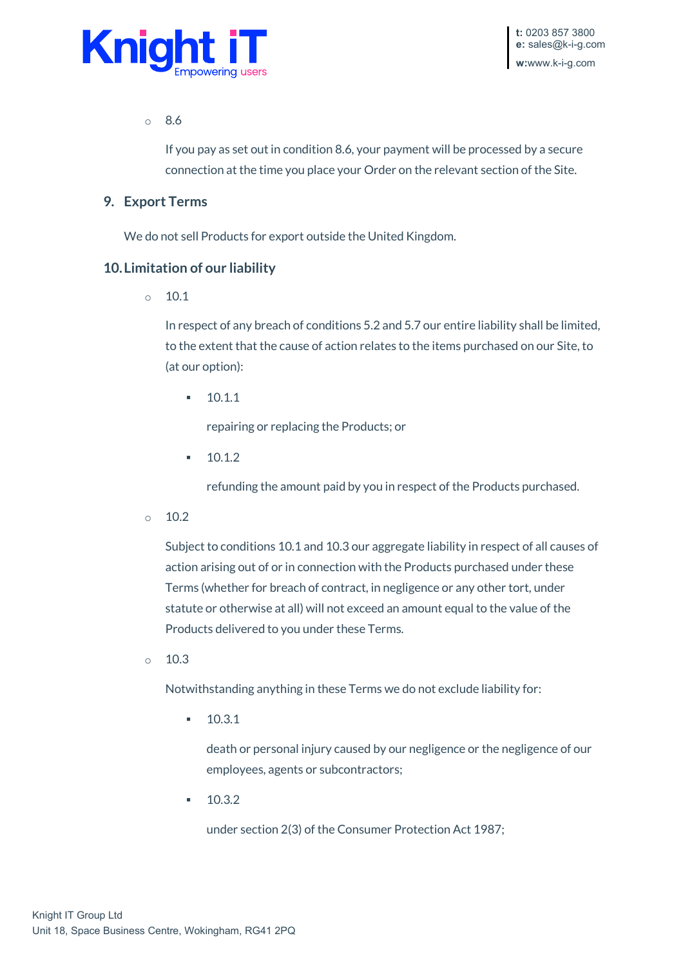

o 8.6

If you pay as set out in condition 8.6, your payment will be processed by a secure connection at the time you place your Order on the relevant section of the Site.

#### **9. Export Terms**

We do not sell Products for export outside the United Kingdom.

### **10.Limitation of our liability**

 $\circ$  10.1

In respect of any breach of conditions 5.2 and 5.7 our entire liability shall be limited, to the extent that the cause of action relates to the items purchased on our Site, to (at our option):

 $-10.1.1$ 

repairing or replacing the Products; or

 $-10.1.2$ 

refunding the amount paid by you in respect of the Products purchased.

 $\circ$  10.2

Subject to conditions 10.1 and 10.3 our aggregate liability in respect of all causes of action arising out of or in connection with the Products purchased under these Terms (whether for breach of contract, in negligence or any other tort, under statute or otherwise at all) will not exceed an amount equal to the value of the Products delivered to you under these Terms.

 $\circ$  10.3

Notwithstanding anything in these Terms we do not exclude liability for:

10.3.1

death or personal injury caused by our negligence or the negligence of our employees, agents or subcontractors;

 $-10.3.2$ 

under section 2(3) of the Consumer Protection Act 1987;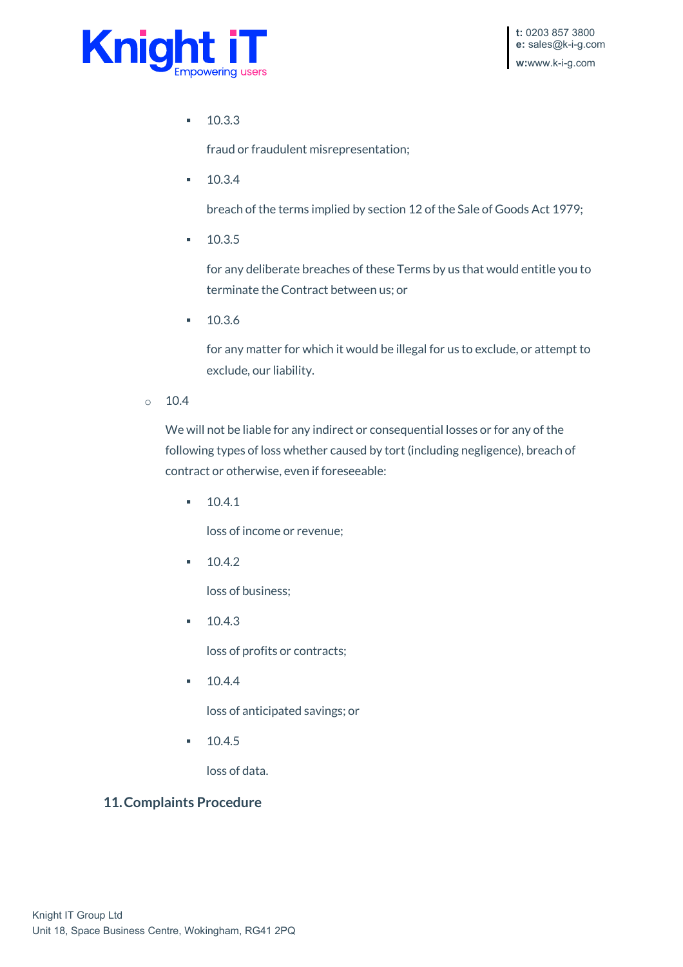

10.3.3

fraud or fraudulent misrepresentation;

10.3.4

breach of the terms implied by section 12 of the Sale of Goods Act 1979;

 $10.3.5$ 

for any deliberate breaches of these Terms by us that would entitle you to terminate the Contract between us; or

 $-10.3.6$ 

for any matter for which it would be illegal for us to exclude, or attempt to exclude, our liability.

 $\circ$  10.4

We will not be liable for any indirect or consequential losses or for any of the following types of loss whether caused by tort (including negligence), breach of contract or otherwise, even if foreseeable:

 $-10.4.1$ 

loss of income or revenue;

 $-10.4.2$ 

loss of business;

 $-10.4.3$ 

loss of profits or contracts;

 $-10.4.4$ 

loss of anticipated savings; or

10.4.5

loss of data.

### **11.Complaints Procedure**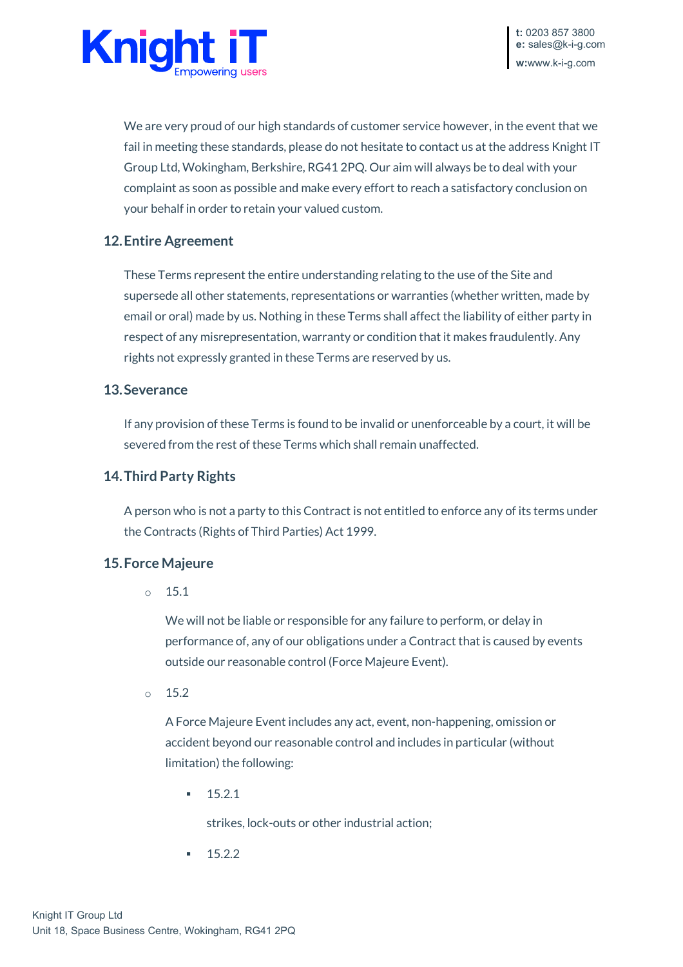

We are very proud of our high standards of customer service however, in the event that we fail in meeting these standards, please do not hesitate to contact us at the address Knight IT Group Ltd, Wokingham, Berkshire, RG41 2PQ. Our aim will always be to deal with your complaint as soon as possible and make every effort to reach a satisfactory conclusion on your behalf in order to retain your valued custom.

## **12.Entire Agreement**

These Terms represent the entire understanding relating to the use of the Site and supersede all other statements, representations or warranties (whether written, made by email or oral) made by us. Nothing in these Terms shall affect the liability of either party in respect of any misrepresentation, warranty or condition that it makes fraudulently. Any rights not expressly granted in these Terms are reserved by us.

#### **13.Severance**

If any provision of these Terms is found to be invalid or unenforceable by a court, it will be severed from the rest of these Terms which shall remain unaffected.

#### **14.Third Party Rights**

A person who is not a party to this Contract is not entitled to enforce any of its terms under the Contracts (Rights of Third Parties) Act 1999.

#### **15.Force Majeure**

 $\circ$  15.1

We will not be liable or responsible for any failure to perform, or delay in performance of, any of our obligations under a Contract that is caused by events outside our reasonable control (Force Majeure Event).

 $\circ$  15.2

A Force Majeure Event includes any act, event, non-happening, omission or accident beyond our reasonable control and includes in particular (without limitation) the following:

 $-15.2.1$ 

strikes, lock-outs or other industrial action;

15.2.2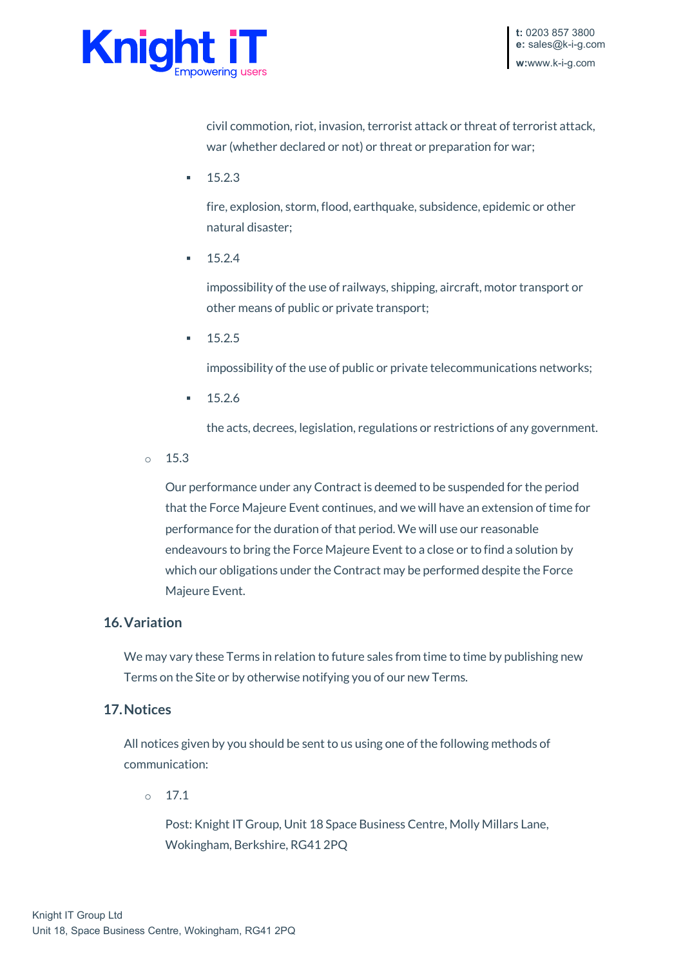

civil commotion, riot, invasion, terrorist attack or threat of terrorist attack, war (whether declared or not) or threat or preparation for war;

15.2.3

fire, explosion, storm, flood, earthquake, subsidence, epidemic or other natural disaster;

15.2.4

impossibility of the use of railways, shipping, aircraft, motor transport or other means of public or private transport;

15.2.5

impossibility of the use of public or private telecommunications networks;

 $-15.2.6$ 

the acts, decrees, legislation, regulations or restrictions of any government.

 $\circ$  15.3

Our performance under any Contract is deemed to be suspended for the period that the Force Majeure Event continues, and we will have an extension of time for performance for the duration of that period. We will use our reasonable endeavours to bring the Force Majeure Event to a close or to find a solution by which our obligations under the Contract may be performed despite the Force Majeure Event.

### **16.Variation**

We may vary these Terms in relation to future sales from time to time by publishing new Terms on the Site or by otherwise notifying you of our new Terms.

### **17.Notices**

All notices given by you should be sent to us using one of the following methods of communication:

 $0 \t 17.1$ 

Post: Knight IT Group, Unit 18 Space Business Centre, Molly Millars Lane, Wokingham, Berkshire, RG41 2PQ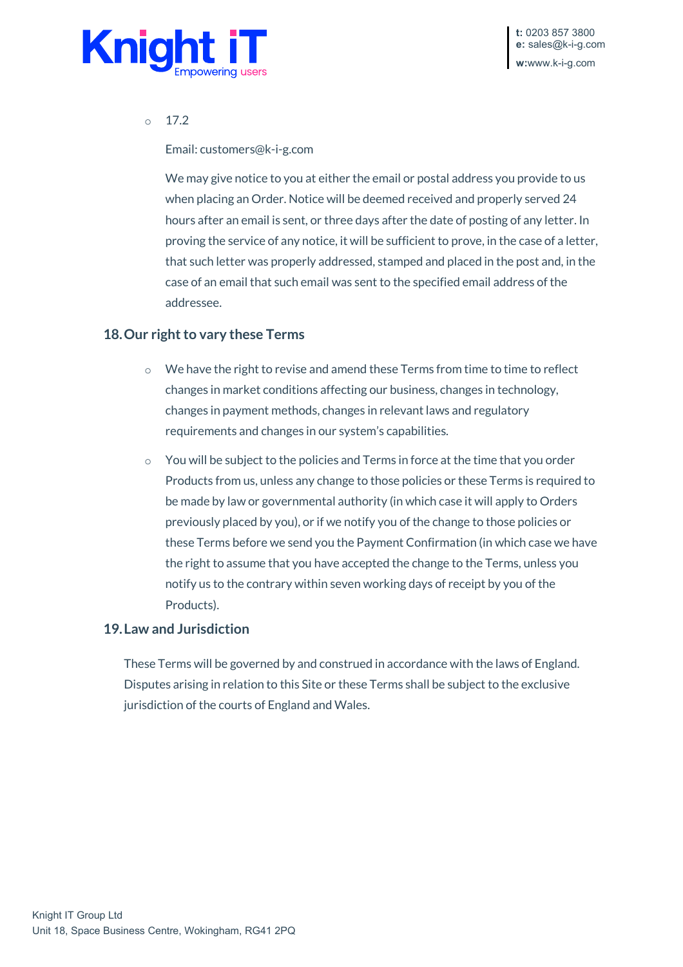

#### o 17.2

Email: customers@k-i-g.com

We may give notice to you at either the email or postal address you provide to us when placing an Order. Notice will be deemed received and properly served 24 hours after an email is sent, or three days after the date of posting of any letter. In proving the service of any notice, it will be sufficient to prove, in the case of a letter, that such letter was properly addressed, stamped and placed in the post and, in the case of an email that such email was sent to the specified email address of the addressee.

#### **18.Our right to vary these Terms**

- o We have the right to revise and amend these Terms from time to time to reflect changes in market conditions affecting our business, changes in technology, changes in payment methods, changes in relevant laws and regulatory requirements and changes in our system's capabilities.
- You will be subject to the policies and Terms in force at the time that you order Products from us, unless any change to those policies or these Terms is required to be made by law or governmental authority (in which case it will apply to Orders previously placed by you), or if we notify you of the change to those policies or these Terms before we send you the Payment Confirmation (in which case we have the right to assume that you have accepted the change to the Terms, unless you notify us to the contrary within seven working days of receipt by you of the Products).

#### **19.Law and Jurisdiction**

These Terms will be governed by and construed in accordance with the laws of England. Disputes arising in relation to this Site or these Terms shall be subject to the exclusive jurisdiction of the courts of England and Wales.